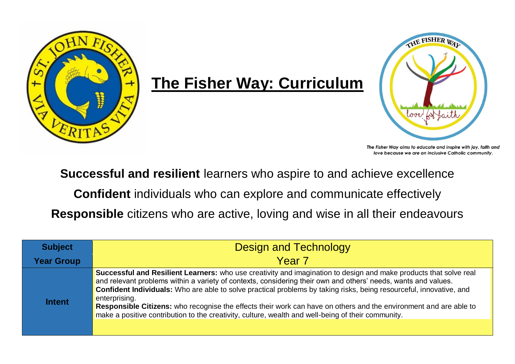

## **The Fisher Way: Curriculum**



The Fisher Way aims to educate and inspire with joy, faith and love because we are an inclusive Catholic community.

**Successful and resilient** learners who aspire to and achieve excellence

**Confident** individuals who can explore and communicate effectively

**Responsible** citizens who are active, loving and wise in all their endeavours

| <b>Subject</b>    | <b>Design and Technology</b>                                                                                                                                                                                                                                                                                                                                                                                                                                                                                                                                                                                         |
|-------------------|----------------------------------------------------------------------------------------------------------------------------------------------------------------------------------------------------------------------------------------------------------------------------------------------------------------------------------------------------------------------------------------------------------------------------------------------------------------------------------------------------------------------------------------------------------------------------------------------------------------------|
| <b>Year Group</b> | Year 7                                                                                                                                                                                                                                                                                                                                                                                                                                                                                                                                                                                                               |
| <b>Intent</b>     | <b>Successful and Resilient Learners:</b> who use creativity and imagination to design and make products that solve real<br>and relevant problems within a variety of contexts, considering their own and others' needs, wants and values.<br><b>Confident Individuals:</b> Who are able to solve practical problems by taking risks, being resourceful, innovative, and<br>enterprising.<br>Responsible Citizens: who recognise the effects their work can have on others and the environment and are able to<br>make a positive contribution to the creativity, culture, wealth and well-being of their community. |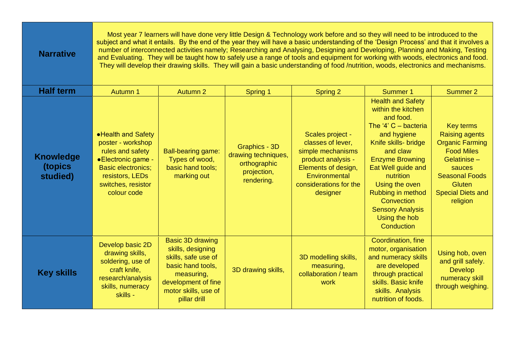| <b>Narrative</b>                        | Most year 7 learners will have done very little Design & Technology work before and so they will need to be introduced to the<br>subject and what it entails. By the end of the year they will have a basic understanding of the 'Design Process' and that it involves a<br>number of interconnected activities namely; Researching and Analysing, Designing and Developing, Planning and Making, Testing<br>and Evaluating. They will be taught how to safely use a range of tools and equipment for working with woods, electronics and food.<br>They will develop their drawing skills. They will gain a basic understanding of food /nutrition, woods, electronics and mechanisms. |                                                                                                                                                                       |                                                                                   |                                                                                                                                                                |                                                                                                                                                                                                                                                                                                                      |                                                                                                                                                                                              |  |  |
|-----------------------------------------|----------------------------------------------------------------------------------------------------------------------------------------------------------------------------------------------------------------------------------------------------------------------------------------------------------------------------------------------------------------------------------------------------------------------------------------------------------------------------------------------------------------------------------------------------------------------------------------------------------------------------------------------------------------------------------------|-----------------------------------------------------------------------------------------------------------------------------------------------------------------------|-----------------------------------------------------------------------------------|----------------------------------------------------------------------------------------------------------------------------------------------------------------|----------------------------------------------------------------------------------------------------------------------------------------------------------------------------------------------------------------------------------------------------------------------------------------------------------------------|----------------------------------------------------------------------------------------------------------------------------------------------------------------------------------------------|--|--|
| <b>Half term</b>                        | Autumn 1                                                                                                                                                                                                                                                                                                                                                                                                                                                                                                                                                                                                                                                                               | Autumn 2                                                                                                                                                              | Spring 1                                                                          | Spring 2                                                                                                                                                       | Summer 1                                                                                                                                                                                                                                                                                                             | Summer 2                                                                                                                                                                                     |  |  |
| <b>Knowledge</b><br>(topics<br>studied) | • Health and Safety<br>poster - workshop<br>rules and safety<br>• Electronic game -<br><b>Basic electronics;</b><br>resistors, LEDs<br>switches, resistor<br>colour code                                                                                                                                                                                                                                                                                                                                                                                                                                                                                                               | <b>Ball-bearing game:</b><br>Types of wood,<br>basic hand tools;<br>marking out                                                                                       | Graphics - 3D<br>drawing techniques,<br>orthographic<br>projection,<br>rendering. | Scales project -<br>classes of lever,<br>simple mechanisms<br>product analysis -<br>Elements of design,<br>Environmental<br>considerations for the<br>designer | <b>Health and Safety</b><br>within the kitchen<br>and food.<br>The '4' $C -$ bacteria<br>and hygiene<br>Knife skills- bridge<br>and claw<br><b>Enzyme Browning</b><br>Eat Well guide and<br>nutrition<br>Using the oven<br>Rubbing in method<br>Convection<br><b>Sensory Analysis</b><br>Using the hob<br>Conduction | <b>Key terms</b><br><b>Raising agents</b><br><b>Organic Farming</b><br><b>Food Miles</b><br>Gelatinise-<br>sauces<br><b>Seasonal Foods</b><br>Gluten<br><b>Special Diets and</b><br>religion |  |  |
| <b>Key skills</b>                       | Develop basic 2D<br>drawing skills,<br>soldering, use of<br>craft knife,<br>research/analysis<br>skills, numeracy<br>skills -                                                                                                                                                                                                                                                                                                                                                                                                                                                                                                                                                          | <b>Basic 3D drawing</b><br>skills, designing<br>skills, safe use of<br>basic hand tools,<br>measuring,<br>development of fine<br>motor skills, use of<br>pillar drill | 3D drawing skills,                                                                | 3D modelling skills,<br>measuring,<br>collaboration / team<br>work                                                                                             | Coordination, fine<br>motor, organisation<br>and numeracy skills<br>are developed<br>through practical<br>skills. Basic knife<br>skills. Analysis<br>nutrition of foods.                                                                                                                                             | Using hob, oven<br>and grill safely.<br><b>Develop</b><br>numeracy skill<br>through weighing.                                                                                                |  |  |